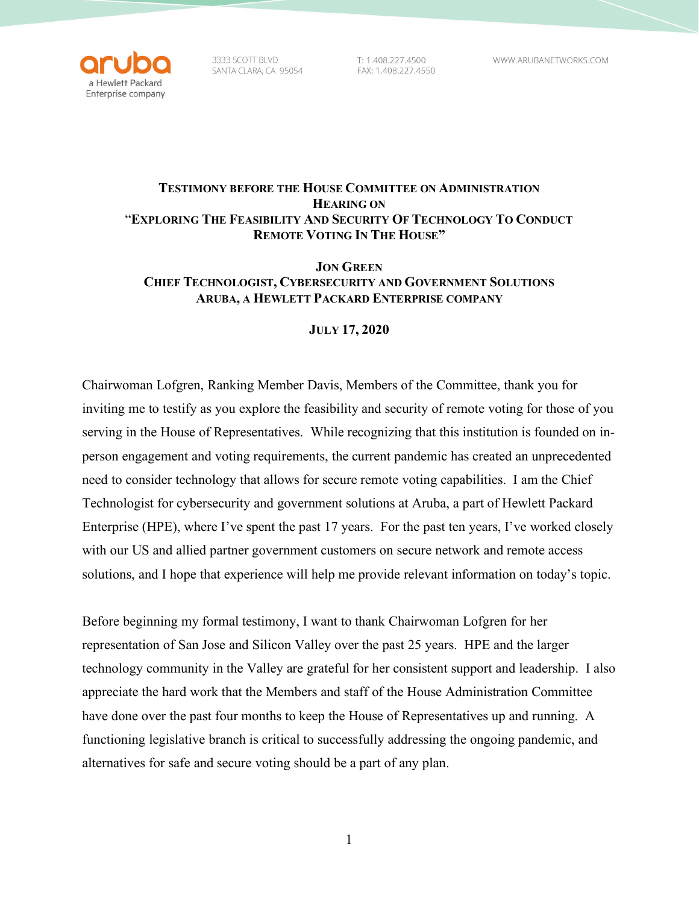

3333 SCOTT BLVD SANTA CLARA, CA 95054

T: 1.408.227.4500 FAX: 1.408.227.4550

## **TESTIMONY BEFORE THE HOUSE COMMITTEE ON ADMINISTRATION HEARING ON**  "**EXPLORING THE FEASIBILITY AND SECURITY OF TECHNOLOGY TO CONDUCT REMOTE VOTING IN THE HOUSE"**

## **JON GREEN CHIEF TECHNOLOGIST, CYBERSECURITY AND GOVERNMENT SOLUTIONS ARUBA, A HEWLETT PACKARD ENTERPRISE COMPANY**

## **JULY 17, 2020**

Chairwoman Lofgren, Ranking Member Davis, Members of the Committee, thank you for inviting me to testify as you explore the feasibility and security of remote voting for those of you serving in the House of Representatives. While recognizing that this institution is founded on inperson engagement and voting requirements, the current pandemic has created an unprecedented need to consider technology that allows for secure remote voting capabilities. I am the Chief Technologist for cybersecurity and government solutions at Aruba, a part of Hewlett Packard Enterprise (HPE), where I've spent the past 17 years. For the past ten years, I've worked closely with our US and allied partner government customers on secure network and remote access solutions, and I hope that experience will help me provide relevant information on today's topic.

Before beginning my formal testimony, I want to thank Chairwoman Lofgren for her representation of San Jose and Silicon Valley over the past 25 years. HPE and the larger technology community in the Valley are grateful for her consistent support and leadership. I also appreciate the hard work that the Members and staff of the House Administration Committee have done over the past four months to keep the House of Representatives up and running. A functioning legislative branch is critical to successfully addressing the ongoing pandemic, and alternatives for safe and secure voting should be a part of any plan.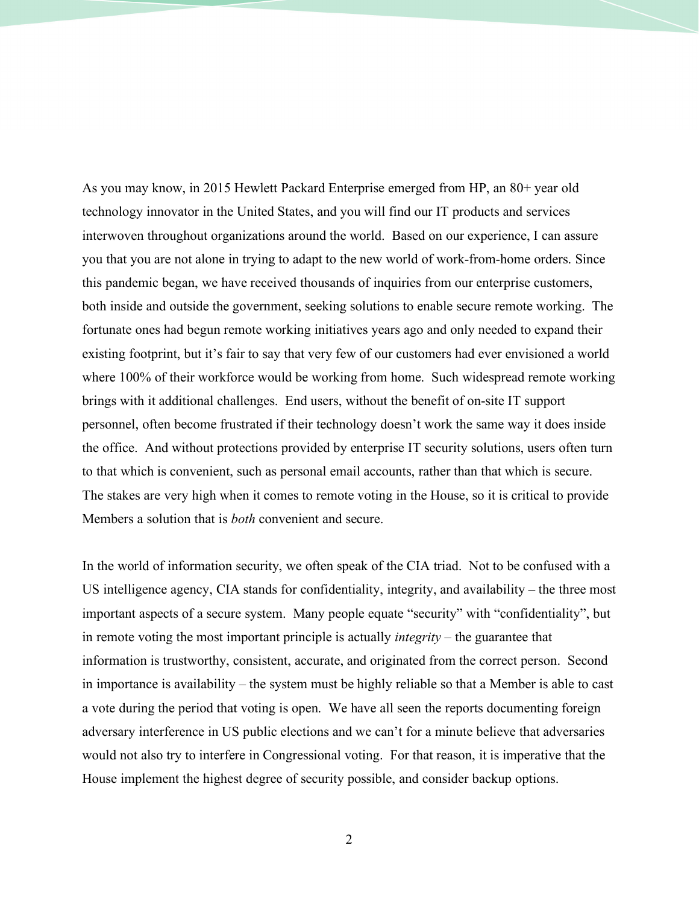As you may know, in 2015 Hewlett Packard Enterprise emerged from HP, an 80+ year old technology innovator in the United States, and you will find our IT products and services interwoven throughout organizations around the world. Based on our experience, I can assure you that you are not alone in trying to adapt to the new world of work-from-home orders. Since this pandemic began, we have received thousands of inquiries from our enterprise customers, both inside and outside the government, seeking solutions to enable secure remote working. The fortunate ones had begun remote working initiatives years ago and only needed to expand their existing footprint, but it's fair to say that very few of our customers had ever envisioned a world where 100% of their workforce would be working from home. Such widespread remote working brings with it additional challenges. End users, without the benefit of on-site IT support personnel, often become frustrated if their technology doesn't work the same way it does inside the office. And without protections provided by enterprise IT security solutions, users often turn to that which is convenient, such as personal email accounts, rather than that which is secure. The stakes are very high when it comes to remote voting in the House, so it is critical to provide Members a solution that is *both* convenient and secure.

In the world of information security, we often speak of the CIA triad. Not to be confused with a US intelligence agency, CIA stands for confidentiality, integrity, and availability – the three most important aspects of a secure system. Many people equate "security" with "confidentiality", but in remote voting the most important principle is actually *integrity* – the guarantee that information is trustworthy, consistent, accurate, and originated from the correct person. Second in importance is availability – the system must be highly reliable so that a Member is able to cast a vote during the period that voting is open. We have all seen the reports documenting foreign adversary interference in US public elections and we can't for a minute believe that adversaries would not also try to interfere in Congressional voting. For that reason, it is imperative that the House implement the highest degree of security possible, and consider backup options.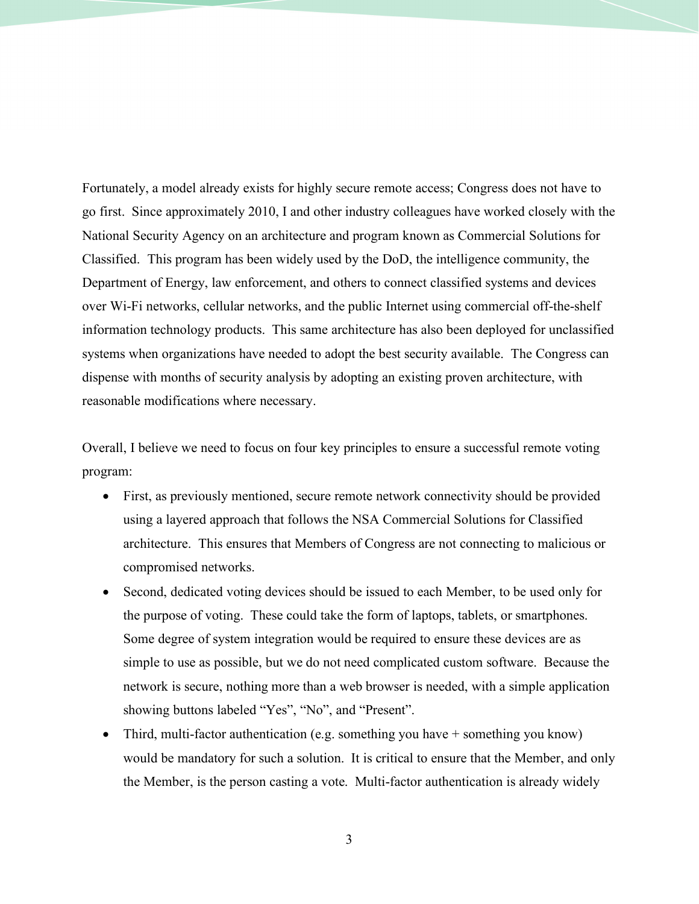Fortunately, a model already exists for highly secure remote access; Congress does not have to go first. Since approximately 2010, I and other industry colleagues have worked closely with the National Security Agency on an architecture and program known as Commercial Solutions for Classified. This program has been widely used by the DoD, the intelligence community, the Department of Energy, law enforcement, and others to connect classified systems and devices over Wi-Fi networks, cellular networks, and the public Internet using commercial off-the-shelf information technology products. This same architecture has also been deployed for unclassified systems when organizations have needed to adopt the best security available. The Congress can dispense with months of security analysis by adopting an existing proven architecture, with reasonable modifications where necessary.

Overall, I believe we need to focus on four key principles to ensure a successful remote voting program:

- First, as previously mentioned, secure remote network connectivity should be provided using a layered approach that follows the NSA Commercial Solutions for Classified architecture. This ensures that Members of Congress are not connecting to malicious or compromised networks.
- Second, dedicated voting devices should be issued to each Member, to be used only for the purpose of voting. These could take the form of laptops, tablets, or smartphones. Some degree of system integration would be required to ensure these devices are as simple to use as possible, but we do not need complicated custom software. Because the network is secure, nothing more than a web browser is needed, with a simple application showing buttons labeled "Yes", "No", and "Present".
- Third, multi-factor authentication (e.g. something you have  $+$  something you know) would be mandatory for such a solution. It is critical to ensure that the Member, and only the Member, is the person casting a vote. Multi-factor authentication is already widely